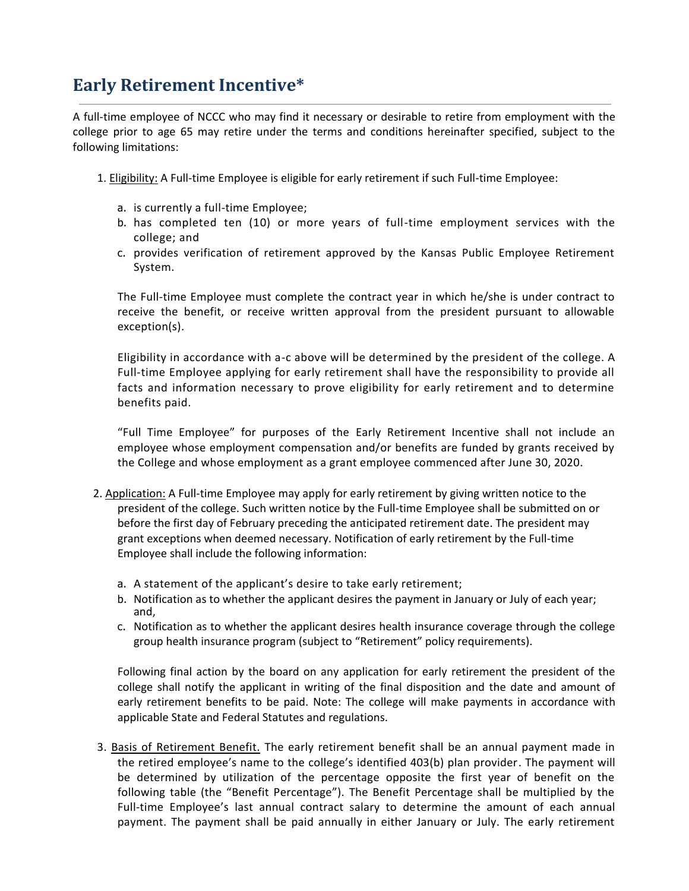## **Early Retirement Incentive\***

A full-time employee of NCCC who may find it necessary or desirable to retire from employment with the college prior to age 65 may retire under the terms and conditions hereinafter specified, subject to the following limitations:

- 1. Eligibility: A Full-time Employee is eligible for early retirement if such Full-time Employee:
	- a. is currently a full-time Employee;
	- b. has completed ten (10) or more years of full-time employment services with the college; and
	- c. provides verification of retirement approved by the Kansas Public Employee Retirement System.

The Full-time Employee must complete the contract year in which he/she is under contract to receive the benefit, or receive written approval from the president pursuant to allowable exception(s).

Eligibility in accordance with a-c above will be determined by the president of the college. A Full-time Employee applying for early retirement shall have the responsibility to provide all facts and information necessary to prove eligibility for early retirement and to determine benefits paid.

"Full Time Employee" for purposes of the Early Retirement Incentive shall not include an employee whose employment compensation and/or benefits are funded by grants received by the College and whose employment as a grant employee commenced after June 30, 2020.

- 2. Application: A Full-time Employee may apply for early retirement by giving written notice to the president of the college. Such written notice by the Full-time Employee shall be submitted on or before the first day of February preceding the anticipated retirement date. The president may grant exceptions when deemed necessary. Notification of early retirement by the Full-time Employee shall include the following information:
	- a. A statement of the applicant's desire to take early retirement;
	- b. Notification as to whether the applicant desires the payment in January or July of each year; and,
	- c. Notification as to whether the applicant desires health insurance coverage through the college group health insurance program (subject to "Retirement" policy requirements).

Following final action by the board on any application for early retirement the president of the college shall notify the applicant in writing of the final disposition and the date and amount of early retirement benefits to be paid. Note: The college will make payments in accordance with applicable State and Federal Statutes and regulations.

3. Basis of Retirement Benefit. The early retirement benefit shall be an annual payment made in the retired employee's name to the college's identified 403(b) plan provider. The payment will be determined by utilization of the percentage opposite the first year of benefit on the following table (the "Benefit Percentage"). The Benefit Percentage shall be multiplied by the Full-time Employee's last annual contract salary to determine the amount of each annual payment. The payment shall be paid annually in either January or July. The early retirement